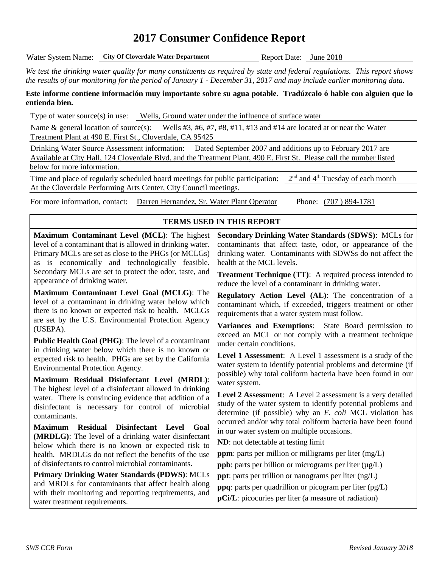# **2017 Consumer Confidence Report**

Water System Name: City Of Cloverdale Water Department Report Date: June 2018

*We test the drinking water quality for many constituents as required by state and federal regulations. This report shows the results of our monitoring for the period of January 1 - December 31, 2017 and may include earlier monitoring data.*

#### **Este informe contiene información muy importante sobre su agua potable. Tradúzcalo ó hable con alguien que lo entienda bien.**

Type of water source(s) in use: Wells, Ground water under the influence of surface water

Name & general location of source(s): Wells #3, #6, #7, #8, #11, #13 and #14 are located at or near the Water Treatment Plant at 490 E. First St., Cloverdale, CA 95425

Drinking Water Source Assessment information: Dated September 2007 and additions up to February 2017 are Available at City Hall, 124 Cloverdale Blvd. and the Treatment Plant, 490 E. First St. Please call the number listed below for more information.

Time and place of regularly scheduled board meetings for public participation:  $2<sup>nd</sup>$  and  $4<sup>th</sup>$  Tuesday of each month At the Cloverdale Performing Arts Center, City Council meetings.

For more information, contact: Darren Hernandez, Sr. Water Plant Operator Phone: (707 ) 894-1781

#### **TERMS USED IN THIS REPORT**

**Maximum Contaminant Level (MCL)**: The highest level of a contaminant that is allowed in drinking water. Primary MCLs are set as close to the PHGs (or MCLGs) as is economically and technologically feasible. Secondary MCLs are set to protect the odor, taste, and appearance of drinking water.

**Maximum Contaminant Level Goal (MCLG)**: The level of a contaminant in drinking water below which there is no known or expected risk to health. MCLGs are set by the U.S. Environmental Protection Agency (USEPA).

**Public Health Goal (PHG)**: The level of a contaminant in drinking water below which there is no known or expected risk to health. PHGs are set by the California Environmental Protection Agency.

**Maximum Residual Disinfectant Level (MRDL)**: The highest level of a disinfectant allowed in drinking water. There is convincing evidence that addition of a disinfectant is necessary for control of microbial contaminants.

**Maximum Residual Disinfectant Level Goal (MRDLG)**: The level of a drinking water disinfectant below which there is no known or expected risk to health. MRDLGs do not reflect the benefits of the use of disinfectants to control microbial contaminants.

**Primary Drinking Water Standards (PDWS)**: MCLs and MRDLs for contaminants that affect health along with their monitoring and reporting requirements, and water treatment requirements.

**Secondary Drinking Water Standards (SDWS)**:MCLs for contaminants that affect taste, odor, or appearance of the drinking water. Contaminants with SDWSs do not affect the health at the MCL levels.

**Treatment Technique (TT)**: A required process intended to reduce the level of a contaminant in drinking water.

**Regulatory Action Level (AL)**: The concentration of a contaminant which, if exceeded, triggers treatment or other requirements that a water system must follow.

**Variances and Exemptions**: State Board permission to exceed an MCL or not comply with a treatment technique under certain conditions.

**Level 1 Assessment**: A Level 1 assessment is a study of the water system to identify potential problems and determine (if possible) why total coliform bacteria have been found in our water system.

**Level 2 Assessment**: A Level 2 assessment is a very detailed study of the water system to identify potential problems and determine (if possible) why an *E. coli* MCL violation has occurred and/or why total coliform bacteria have been found in our water system on multiple occasions.

**ND**: not detectable at testing limit

**ppm**: parts per million or milligrams per liter (mg/L)

**ppb**: parts per billion or micrograms per liter  $(\mu g/L)$ 

**ppt**: parts per trillion or nanograms per liter (ng/L)

**ppq**: parts per quadrillion or picogram per liter (pg/L)

**pCi/L**: picocuries per liter (a measure of radiation)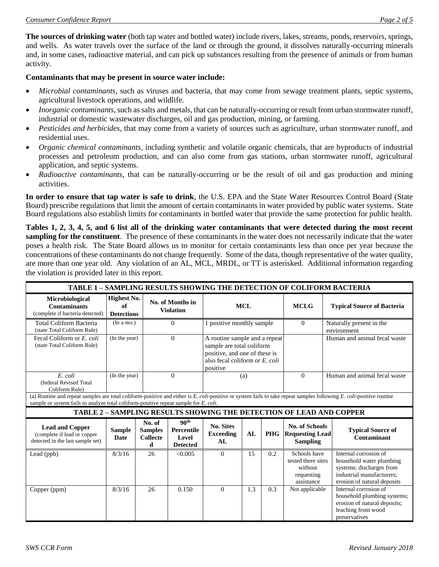**The sources of drinking water** (both tap water and bottled water) include rivers, lakes, streams, ponds, reservoirs, springs, and wells. As water travels over the surface of the land or through the ground, it dissolves naturally-occurring minerals and, in some cases, radioactive material, and can pick up substances resulting from the presence of animals or from human activity.

#### **Contaminants that may be present in source water include:**

- *Microbial contaminants*, such as viruses and bacteria, that may come from sewage treatment plants, septic systems, agricultural livestock operations, and wildlife.
- *Inorganic contaminants*, such as salts and metals, that can be naturally-occurring or result from urban stormwater runoff, industrial or domestic wastewater discharges, oil and gas production, mining, or farming.
- *Pesticides and herbicides*, that may come from a variety of sources such as agriculture, urban stormwater runoff, and residential uses.
- *Organic chemical contaminants*, including synthetic and volatile organic chemicals, that are byproducts of industrial processes and petroleum production, and can also come from gas stations, urban stormwater runoff, agricultural application, and septic systems.
- *Radioactive contaminants*, that can be naturally-occurring or be the result of oil and gas production and mining activities.

**In order to ensure that tap water is safe to drink**, the U.S. EPA and the State Water Resources Control Board (State Board) prescribe regulations that limit the amount of certain contaminants in water provided by public water systems. State Board regulations also establish limits for contaminants in bottled water that provide the same protection for public health.

**Tables 1, 2, 3, 4, 5, and 6 list all of the drinking water contaminants that were detected during the most recent sampling for the constituent**. The presence of these contaminants in the water does not necessarily indicate that the water poses a health risk. The State Board allows us to monitor for certain contaminants less than once per year because the concentrations of these contaminants do not change frequently. Some of the data, though representative of the water quality, are more than one year old. Any violation of an AL, MCL, MRDL, or TT is asterisked. Additional information regarding the violation is provided later in this report.

| <b>TABLE 1 - SAMPLING RESULTS SHOWING THE DETECTION OF COLIFORM BACTERIA</b>                                                                                                                                                                                |                                               |                                                  |                                                            |                                                                                                                                           |     |             |                                                                           |                                                                                                                                           |
|-------------------------------------------------------------------------------------------------------------------------------------------------------------------------------------------------------------------------------------------------------------|-----------------------------------------------|--------------------------------------------------|------------------------------------------------------------|-------------------------------------------------------------------------------------------------------------------------------------------|-----|-------------|---------------------------------------------------------------------------|-------------------------------------------------------------------------------------------------------------------------------------------|
| Microbiological<br><b>Contaminants</b><br>(complete if bacteria detected)                                                                                                                                                                                   | <b>Highest No.</b><br>of<br><b>Detections</b> |                                                  | No. of Months in<br><b>Violation</b>                       | <b>MCL</b>                                                                                                                                |     | <b>MCLG</b> | <b>Typical Source of Bacteria</b>                                         |                                                                                                                                           |
| <b>Total Coliform Bacteria</b><br>(state Total Coliform Rule)                                                                                                                                                                                               | (In a mo.)                                    |                                                  | $\Omega$                                                   | 1 positive monthly sample                                                                                                                 |     | $\Omega$    | Naturally present in the<br>environment                                   |                                                                                                                                           |
| Fecal Coliform or E. coli<br>(state Total Coliform Rule)                                                                                                                                                                                                    | (In the year)                                 |                                                  | $\Omega$                                                   | A routine sample and a repeat<br>sample are total coliform<br>positive, and one of these is<br>also fecal coliform or E. coli<br>positive |     |             | Human and animal fecal waste                                              |                                                                                                                                           |
| E. coli<br>(federal Revised Total<br>Coliform Rule)                                                                                                                                                                                                         | (In the year)                                 |                                                  | $\Omega$                                                   | (a)                                                                                                                                       |     | $\Omega$    | Human and animal fecal waste                                              |                                                                                                                                           |
| (a) Routine and repeat samples are total coliform-positive and either is E. coli-positive or system fails to take repeat samples following E. coli-positive routine<br>sample or system fails to analyze total coliform-positive repeat sample for E. coli. |                                               |                                                  |                                                            |                                                                                                                                           |     |             |                                                                           |                                                                                                                                           |
|                                                                                                                                                                                                                                                             |                                               |                                                  |                                                            |                                                                                                                                           |     |             |                                                                           | TABLE 2 - SAMPLING RESULTS SHOWING THE DETECTION OF LEAD AND COPPER                                                                       |
| <b>Lead and Copper</b><br>(complete if lead or copper<br>detected in the last sample set)                                                                                                                                                                   | <b>Sample</b><br><b>Date</b>                  | No. of<br><b>Samples</b><br><b>Collecte</b><br>d | 90 <sup>th</sup><br>Percentile<br>Level<br><b>Detected</b> | <b>No. Sites</b><br><b>Exceeding</b><br>AL                                                                                                | AL  | <b>PHG</b>  | <b>No. of Schools</b><br><b>Requesting Lead</b><br><b>Sampling</b>        | <b>Typical Source of</b><br>Contaminant                                                                                                   |
| Lead (ppb)                                                                                                                                                                                                                                                  | 8/3/16                                        | 26                                               | < 0.005                                                    | $\Omega$                                                                                                                                  | 15  | 0.2         | Schools have<br>tested there sites<br>without<br>requesting<br>assistance | Internal corrosion of<br>household water plumbing<br>systems; discharges from<br>industrial manufacturers:<br>erosion of natural deposits |
| Copper (ppm)                                                                                                                                                                                                                                                | 8/3/16                                        | 26                                               | 0.150                                                      | $\Omega$                                                                                                                                  | 1.3 | 0.3         | Not applicable                                                            | Internal corrosion of<br>household plumbing systems;<br>erosion of natural deposits;<br>leaching from wood<br>preservatives               |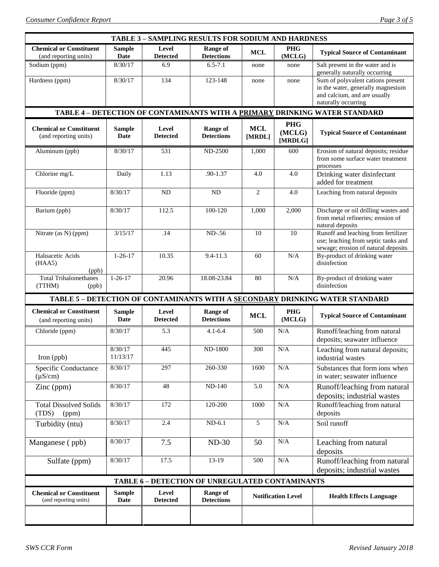| <b>TABLE 3 - SAMPLING RESULTS FOR SODIUM AND HARDNESS</b>                  |                              |                          |                                                 |                      |                                 |                                                                                                                               |  |
|----------------------------------------------------------------------------|------------------------------|--------------------------|-------------------------------------------------|----------------------|---------------------------------|-------------------------------------------------------------------------------------------------------------------------------|--|
| <b>Chemical or Constituent</b><br>(and reporting units)                    | <b>Sample</b><br><b>Date</b> | Level<br><b>Detected</b> | <b>Range of</b><br><b>Detections</b>            | <b>MCL</b>           | <b>PHG</b><br>(MCLG)            | <b>Typical Source of Contaminant</b>                                                                                          |  |
| Sodium (ppm)                                                               | 8/30/17                      | 6.9                      | $6.5 - 7.1$                                     | none                 | none                            | Salt present in the water and is<br>generally naturally occurring                                                             |  |
| Hardness (ppm)                                                             | 8/30/17                      | 134                      | 123-148                                         | none                 | none                            | Sum of polyvalent cations present<br>in the water, generally magnesium<br>and calcium, and are usually<br>naturally occurring |  |
| TABLE 4 - DETECTION OF CONTAMINANTS WITH A PRIMARY DRINKING WATER STANDARD |                              |                          |                                                 |                      |                                 |                                                                                                                               |  |
| <b>Chemical or Constituent</b><br>(and reporting units)                    | <b>Sample</b><br><b>Date</b> | Level<br><b>Detected</b> | <b>Range of</b><br><b>Detections</b>            | <b>MCL</b><br>[MRDL] | <b>PHG</b><br>(MCLG)<br>[MRDLG] | <b>Typical Source of Contaminant</b>                                                                                          |  |
| Aluminum (ppb)                                                             | 8/30/17                      | 531                      | <b>ND-2500</b>                                  | 1,000                | 600                             | Erosion of natural deposits; residue<br>from some surface water treatment<br>processes                                        |  |
| Chlorine mg/L                                                              | Daily                        | 1.13                     | .90-1.37                                        | 4.0                  | 4.0                             | Drinking water disinfectant<br>added for treatment                                                                            |  |
| Fluoride (ppm)                                                             | 8/30/17                      | ND                       | <b>ND</b>                                       | $\mathbf{2}$         | 4.0                             | Leaching from natural deposits                                                                                                |  |
| Barium (ppb)                                                               | 8/30/17                      | 112.5                    | 100-120                                         | 1,000                | 2,000                           | Discharge or oil drilling wastes and<br>from metal refineries; erosion of<br>natural deposits                                 |  |
| Nitrate (as N) (ppm)                                                       | 3/15/17                      | .14                      | ND-.56                                          | 10                   | 10                              | Runoff and leaching from fertilizer<br>use; leaching from septic tanks and<br>sewage; erosion of natural deposits             |  |
| Haloacetic Acids<br>(HAA5)<br>(ppb)                                        | $1 - 26 - 17$                | 10.35                    | $9.4 - 11.3$                                    | 60                   | N/A                             | By-product of drinking water<br>disinfection                                                                                  |  |
| <b>Total Trihalomethanes</b><br>(TTHM)<br>(ppb)                            | $1 - 26 - 17$                | 20.96                    | 18.08-23.84                                     | 80                   | N/A                             | By-product of drinking water<br>disinfection                                                                                  |  |
|                                                                            |                              |                          |                                                 |                      |                                 | TABLE 5 - DETECTION OF CONTAMINANTS WITH A SECONDARY DRINKING WATER STANDARD                                                  |  |
| <b>Chemical or Constituent</b><br>(and reporting units)                    | <b>Sample</b><br>Date        | Level<br><b>Detected</b> | Range of<br><b>Detections</b>                   | <b>MCL</b>           | <b>PHG</b><br>(MCLG)            | <b>Typical Source of Contaminant</b>                                                                                          |  |
| Chloride (ppm)                                                             | 8/30/17                      | 5.3                      | $4.1 - 6.4$                                     | 500                  | N/A                             | Runoff/leaching from natural<br>deposits; seawater influence                                                                  |  |
| Iron (ppb)                                                                 | 8/30/17<br>11/13/17          | 445                      | <b>ND-1800</b>                                  | 300                  | N/A                             | Leaching from natural deposits;<br>industrial wastes                                                                          |  |
| Specific Conductance<br>$(\mu S/cm)$                                       | 8/30/17                      | 297                      | 260-330                                         | 1600                 | N/A                             | Substances that form ions when<br>in water; seawater influence                                                                |  |
| $\text{Zinc (ppm)}$                                                        | 8/30/17                      | 48                       | <b>ND-140</b>                                   | 5.0                  | $\rm N/A$                       | Runoff/leaching from natural<br>deposits; industrial wastes                                                                   |  |
| <b>Total Dissolved Solids</b><br>(TDS)<br>(ppm)                            | 8/30/17                      | 172                      | 120-200                                         | 1000                 | N/A                             | Runoff/leaching from natural<br>deposits                                                                                      |  |
| Turbidity (ntu)                                                            | 8/30/17                      | 2.4                      | $ND-6.1$                                        | 5                    | N/A                             | Soil runoff                                                                                                                   |  |
| Manganese (ppb)                                                            | 8/30/17                      | 7.5                      | $ND-30$                                         | 50                   | N/A                             | Leaching from natural<br>deposits                                                                                             |  |
| Sulfate (ppm)                                                              | 8/30/17                      | 17.5                     | 13-19                                           | 500                  | N/A                             | Runoff/leaching from natural<br>deposits; industrial wastes                                                                   |  |
|                                                                            |                              |                          | TABLE 6 - DETECTION OF UNREGULATED CONTAMINANTS |                      |                                 |                                                                                                                               |  |
| <b>Chemical or Constituent</b><br>(and reporting units)                    | <b>Sample</b><br>Date        | Level<br><b>Detected</b> | <b>Range of</b><br><b>Detections</b>            |                      | <b>Notification Level</b>       | <b>Health Effects Language</b>                                                                                                |  |
|                                                                            |                              |                          |                                                 |                      |                                 |                                                                                                                               |  |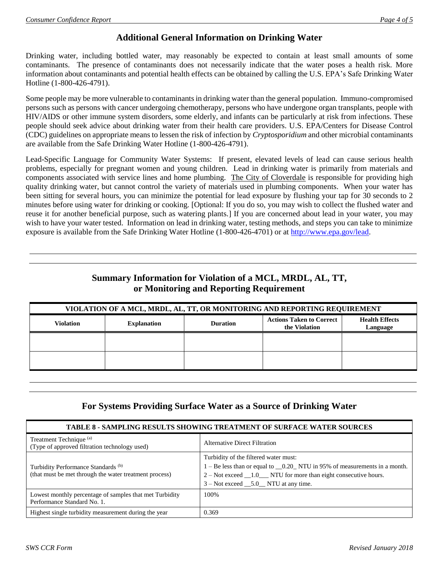### **Additional General Information on Drinking Water**

Drinking water, including bottled water, may reasonably be expected to contain at least small amounts of some contaminants. The presence of contaminants does not necessarily indicate that the water poses a health risk. More information about contaminants and potential health effects can be obtained by calling the U.S. EPA's Safe Drinking Water Hotline (1-800-426-4791).

Some people may be more vulnerable to contaminants in drinking water than the general population. Immuno-compromised persons such as persons with cancer undergoing chemotherapy, persons who have undergone organ transplants, people with HIV/AIDS or other immune system disorders, some elderly, and infants can be particularly at risk from infections. These people should seek advice about drinking water from their health care providers. U.S. EPA/Centers for Disease Control (CDC) guidelines on appropriate means to lessen the risk of infection by *Cryptosporidium* and other microbial contaminants are available from the Safe Drinking Water Hotline (1-800-426-4791).

Lead-Specific Language for Community Water Systems: If present, elevated levels of lead can cause serious health problems, especially for pregnant women and young children. Lead in drinking water is primarily from materials and components associated with service lines and home plumbing. The City of Cloverdale is responsible for providing high quality drinking water, but cannot control the variety of materials used in plumbing components. When your water has been sitting for several hours, you can minimize the potential for lead exposure by flushing your tap for 30 seconds to 2 minutes before using water for drinking or cooking. [Optional: If you do so, you may wish to collect the flushed water and reuse it for another beneficial purpose, such as watering plants.] If you are concerned about lead in your water, you may wish to have your water tested. Information on lead in drinking water, testing methods, and steps you can take to minimize exposure is available from the Safe Drinking Water Hotline (1-800-426-4701) or at [http://www.epa.gov/lead.](http://www.epa.gov/lead)

## **Summary Information for Violation of a MCL, MRDL, AL, TT, or Monitoring and Reporting Requirement**

| VIOLATION OF A MCL, MRDL, AL, TT, OR MONITORING AND REPORTING REQUIREMENT |                    |                 |                                                  |                                   |  |  |
|---------------------------------------------------------------------------|--------------------|-----------------|--------------------------------------------------|-----------------------------------|--|--|
| <b>Violation</b>                                                          | <b>Explanation</b> | <b>Duration</b> | <b>Actions Taken to Correct</b><br>the Violation | <b>Health Effects</b><br>Language |  |  |
|                                                                           |                    |                 |                                                  |                                   |  |  |
|                                                                           |                    |                 |                                                  |                                   |  |  |

### **For Systems Providing Surface Water as a Source of Drinking Water**

| TABLE 8 - SAMPLING RESULTS SHOWING TREATMENT OF SURFACE WATER SOURCES                                    |                                                                                                                                                                                                                                |  |  |  |
|----------------------------------------------------------------------------------------------------------|--------------------------------------------------------------------------------------------------------------------------------------------------------------------------------------------------------------------------------|--|--|--|
| Treatment Technique <sup>(a)</sup><br>(Type of approved filtration technology used)                      | <b>Alternative Direct Filtration</b>                                                                                                                                                                                           |  |  |  |
| Turbidity Performance Standards <sup>(b)</sup><br>(that must be met through the water treatment process) | Turbidity of the filtered water must:<br>1 – Be less than or equal to _0.20_NTU in 95% of measurements in a month.<br>$2 - Not exceed 1.0$ NTU for more than eight consecutive hours.<br>$3 - Not exceed 5.0 NTU at any time.$ |  |  |  |
| Lowest monthly percentage of samples that met Turbidity<br>Performance Standard No. 1.                   | 100%                                                                                                                                                                                                                           |  |  |  |
| Highest single turbidity measurement during the year                                                     | 0.369                                                                                                                                                                                                                          |  |  |  |